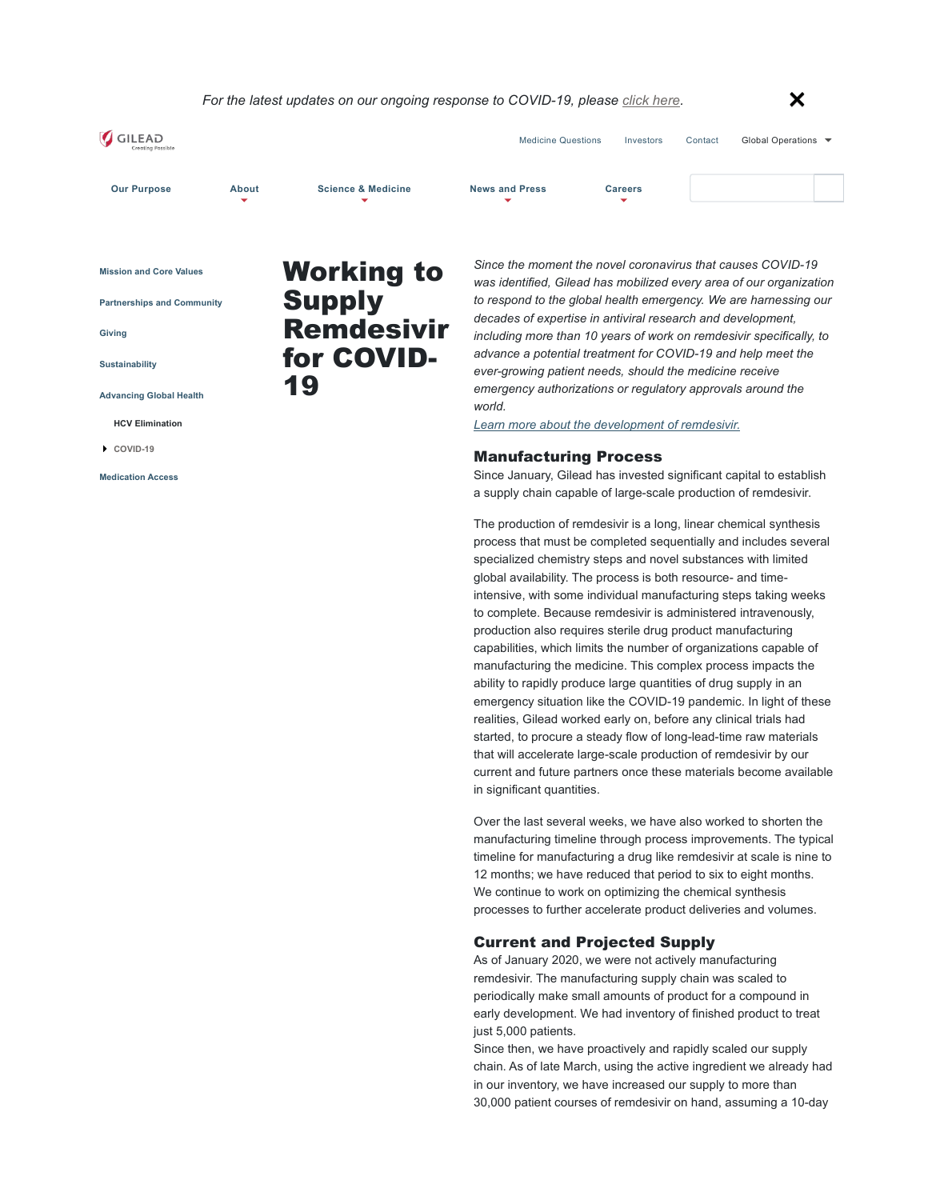#### *For the latest updates on our ongoing response to COVID-19, please click here.*  $\mathsf{\times}$



**Mission and Core Values** 

**Partnerships and Community**

**Giving**

**Sustainability**

**Advancing Global Health**

**HCV Elimination** 

**COVID-19** 

**Medication Access**

# Working to Supply Remdesivir for COVID-19

*Since the moment the novel coronavirus that causes COVID-19 was identified, Gilead has mobilized every area of our organization to respond to the global health emergency. We are harnessing our decades of expertise in antiviral research and development, including more than 10 years of work on remdesivir specifically, to advance a potential treatment for COVID-19 and help meet the ever-growing patient needs, should the medicine receive emergency authorizations or regulatory approvals around the world.* 

*Learn more about the development of remdesivir.*

### Manufacturing Process

Since January, Gilead has invested significant capital to establish a supply chain capable of large-scale production of remdesivir.

The production of remdesivir is a long, linear chemical synthesis process that must be completed sequentially and includes several specialized chemistry steps and novel substances with limited global availability. The process is both resource- and timeintensive, with some individual manufacturing steps taking weeks to complete. Because remdesivir is administered intravenously, production also requires sterile drug product manufacturing capabilities, which limits the number of organizations capable of manufacturing the medicine. This complex process impacts the ability to rapidly produce large quantities of drug supply in an emergency situation like the COVID-19 pandemic. In light of these realities, Gilead worked early on, before any clinical trials had started, to procure a steady flow of long-lead-time raw materials that will accelerate large-scale production of remdesivir by our current and future partners once these materials become available in significant quantities.

Over the last several weeks, we have also worked to shorten the manufacturing timeline through process improvements. The typical timeline for manufacturing a drug like remdesivir at scale is nine to 12 months; we have reduced that period to six to eight months. We continue to work on optimizing the chemical synthesis processes to further accelerate product deliveries and volumes.

## Current and Projected Supply

As of January 2020, we were not actively manufacturing remdesivir. The manufacturing supply chain was scaled to periodically make small amounts of product for a compound in early development. We had inventory of finished product to treat just 5,000 patients.

Since then, we have proactively and rapidly scaled our supply chain. As of late March, using the active ingredient we already had in our inventory, we have increased our supply to more than 30,000 patient courses of remdesivir on hand, assuming a 10-day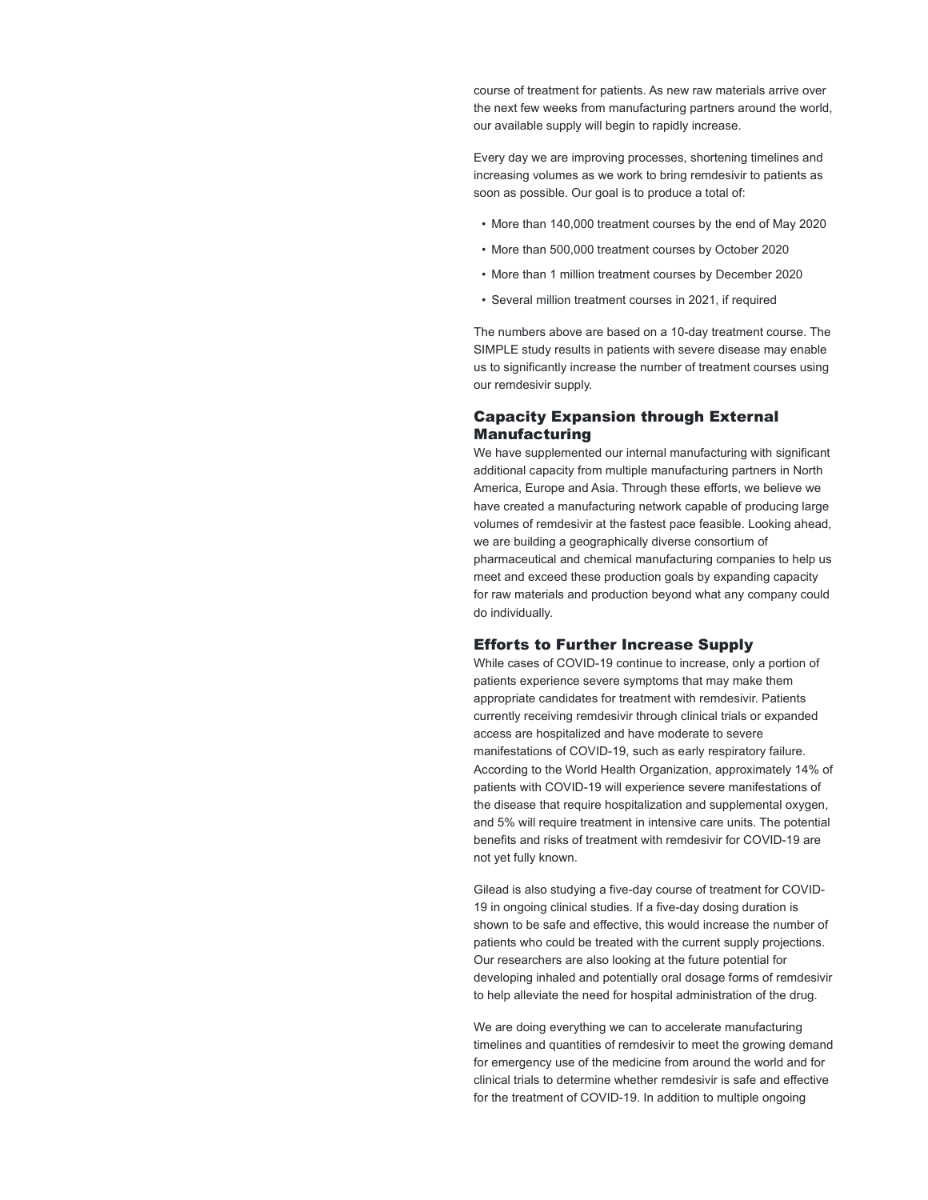course of treatment for patients. As new raw materials arrive over the next few weeks from manufacturing partners around the world, our available supply will begin to rapidly increase.

Every day we are improving processes, shortening timelines and increasing volumes as we work to bring remdesivir to patients as soon as possible. Our goal is to produce a total of:

- More than 140,000 treatment courses by the end of May 2020
- More than 500,000 treatment courses by October 2020
- More than 1 million treatment courses by December 2020
- Several million treatment courses in 2021, if required

The numbers above are based on a 10-day treatment course. The SIMPLE study results in patients with severe disease may enable us to significantly increase the number of treatment courses using our remdesivir supply.

## Capacity Expansion through External Manufacturing

We have supplemented our internal manufacturing with significant additional capacity from multiple manufacturing partners in North America, Europe and Asia. Through these efforts, we believe we have created a manufacturing network capable of producing large volumes of remdesivir at the fastest pace feasible. Looking ahead, we are building a geographically diverse consortium of pharmaceutical and chemical manufacturing companies to help us meet and exceed these production goals by expanding capacity for raw materials and production beyond what any company could do individually.

## Efforts to Further Increase Supply

While cases of COVID-19 continue to increase, only a portion of patients experience severe symptoms that may make them appropriate candidates for treatment with remdesivir. Patients currently receiving remdesivir through clinical trials or expanded access are hospitalized and have moderate to severe manifestations of COVID-19, such as early respiratory failure. According to the World Health Organization, approximately 14% of patients with COVID-19 will experience severe manifestations of the disease that require hospitalization and supplemental oxygen, and 5% will require treatment in intensive care units. The potential benefits and risks of treatment with remdesivir for COVID-19 are not yet fully known.

Gilead is also studying a five-day course of treatment for COVID-19 in ongoing clinical studies. If a five-day dosing duration is shown to be safe and effective, this would increase the number of patients who could be treated with the current supply projections. Our researchers are also looking at the future potential for developing inhaled and potentially oral dosage forms of remdesivir to help alleviate the need for hospital administration of the drug.

We are doing everything we can to accelerate manufacturing timelines and quantities of remdesivir to meet the growing demand for emergency use of the medicine from around the world and for clinical trials to determine whether remdesivir is safe and effective for the treatment of COVID-19. In addition to multiple ongoing